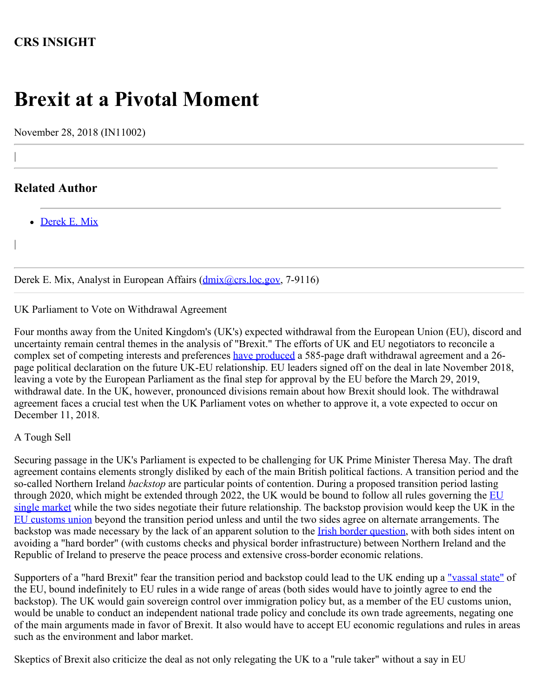## **CRS INSIGHT**

# **Brexit at a Pivotal Moment**

November 28, 2018 (IN11002)

### **Related Author**

|

|

• [Derek E. Mix](http://www.crs.gov/Author/index?id=101275)

Derek E. Mix, Analyst in European Affairs (*dmix@crs.loc.gov*, 7-9116)

#### UK Parliament to Vote on Withdrawal Agreement

Four months away from the United Kingdom's (UK's) expected withdrawal from the European Union (EU), discord and uncertainty remain central themes in the analysis of "Brexit." The efforts of UK and EU negotiators to reconcile a complex set of competing interests and preferences [have produced](https://www.gov.uk/government/publications/progress-on-the-uks-exit-from-and-future-relationship-with-the-european-union) a 585-page draft withdrawal agreement and a 26page political declaration on the future UK-EU relationship. EU leaders signed off on the deal in late November 2018, leaving a vote by the European Parliament as the final step for approval by the EU before the March 29, 2019, withdrawal date. In the UK, however, pronounced divisions remain about how Brexit should look. The withdrawal agreement faces a crucial test when the UK Parliament votes on whether to approve it, a vote expected to occur on December 11, 2018.

#### A Tough Sell

Securing passage in the UK's Parliament is expected to be challenging for UK Prime Minister Theresa May. The draft agreement contains elements strongly disliked by each of the main British political factions. A transition period and the so-called Northern Ireland *backstop* are particular points of contention. During a proposed transition period lasting through 2020, which might be extended through 2022, the UK would be bound to follow all rules governing the [EU](https://ec.europa.eu/growth/single-market_en) [single market](https://ec.europa.eu/growth/single-market_en) while the two sides negotiate their future relationship. The backstop provision would keep the UK in the [EU customs union](https://ec.europa.eu/taxation_customs/facts-figures/eu-customs-union-unique-world_en) beyond the transition period unless and until the two sides agree on alternate arrangements. The backstop was made necessary by the lack of an apparent solution to the **Irish border question**, with both sides intent on avoiding a "hard border" (with customs checks and physical border infrastructure) between Northern Ireland and the Republic of Ireland to preserve the peace process and extensive cross-border economic relations.

Supporters of a "hard Brexit" fear the transition period and backstop could lead to the UK ending up a <u>"vassal state"</u> of the EU, bound indefinitely to EU rules in a wide range of areas (both sides would have to jointly agree to end the backstop). The UK would gain sovereign control over immigration policy but, as a member of the EU customs union, would be unable to conduct an independent national trade policy and conclude its own trade agreements, negating one of the main arguments made in favor of Brexit. It also would have to accept EU economic regulations and rules in areas such as the environment and labor market.

Skeptics of Brexit also criticize the deal as not only relegating the UK to a "rule taker" without a say in EU